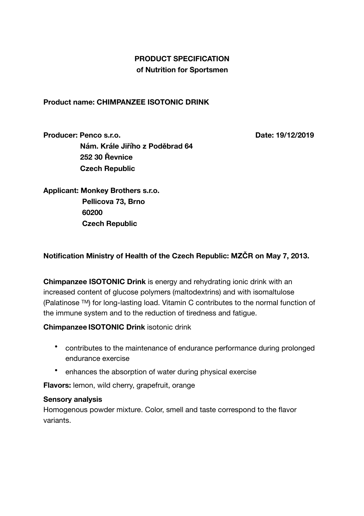## **PRODUCT SPECIFICATION of Nutrition for Sportsmen**

**Product name: CHIMPANZEE ISOTONIC DRINK** 

**Producer: Penco s.r.o. Date: 19/12/2019 Nám. Krále Jiřího z Poděbrad 64 252 30 Řevnice Czech Republic** 

**Applicant: Monkey Brothers s.r.o. Pellicova 73, Brno 60200 Czech Republic** 

## **Notification Ministry of Health of the Czech Republic: MZČR on May 7, 2013.**

**Chimpanzee ISOTONIC Drink** is energy and rehydrating ionic drink with an increased content of glucose polymers (maltodextrins) and with isomaltulose (Palatinose TM) for long-lasting load. Vitamin C contributes to the normal function of the immune system and to the reduction of tiredness and fatigue.

#### **Chimpanzee ISOTONIC Drink** isotonic drink

- contributes to the maintenance of endurance performance during prolonged endurance exercise
- enhances the absorption of water during physical exercise

**Flavors:** lemon, wild cherry, grapefruit, orange

#### **Sensory analysis**

Homogenous powder mixture. Color, smell and taste correspond to the flavor variants.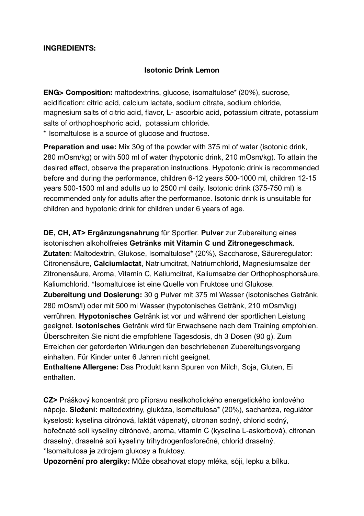#### **INGREDIENTS:**

#### **Isotonic Drink Lemon**

**ENG> Composition:** maltodextrins, glucose, isomaltulose\* (20%), sucrose, acidification: citric acid, calcium lactate, sodium citrate, sodium chloride, magnesium salts of citric acid, flavor, L- ascorbic acid, potassium citrate, potassium salts of orthophosphoric acid, potassium chloride.

\* Isomaltulose is a source of glucose and fructose.

**Preparation and use:** Mix 30g of the powder with 375 ml of water (isotonic drink, 280 mOsm/kg) or with 500 ml of water (hypotonic drink, 210 mOsm/kg). To attain the desired effect, observe the preparation instructions. Hypotonic drink is recommended before and during the performance, children 6-12 years 500-1000 ml, children 12-15 years 500-1500 ml and adults up to 2500 ml daily. Isotonic drink (375-750 ml) is recommended only for adults after the performance. Isotonic drink is unsuitable for children and hypotonic drink for children under 6 years of age.

**DE, CH, AT> Ergänzungsnahrung** für Sportler. **Pulver** zur Zubereitung eines isotonischen alkoholfreies **Getränks mit Vitamin C und Zitronegeschmack**. **Zutaten**: Maltodextrin, Glukose, Isomaltulose\* (20%), Saccharose, Säureregulator: Citronensäure, **Calciumlactat**, Natriumcitrat, Natriumchlorid, Magnesiumsalze der Zitronensäure, Aroma, Vitamin C, Kaliumcitrat, Kaliumsalze der Orthophosphorsäure, Kaliumchlorid. \*Isomaltulose ist eine Quelle von Fruktose und Glukose. **Zubereitung und Dosierung:** 30 g Pulver mit 375 ml Wasser (isotonisches Getränk, 280 mOsm/l) oder mit 500 ml Wasser (hypotonisches Getränk, 210 mOsm/kg) verrühren. **Hypotonisches** Getränk ist vor und während der sportlichen Leistung geeignet. **Isotonisches** Getränk wird für Erwachsene nach dem Training empfohlen. Überschreiten Sie nicht die empfohlene Tagesdosis, dh 3 Dosen (90 g). Zum Erreichen der geforderten Wirkungen den beschriebenen Zubereitungsvorgang einhalten. Für Kinder unter 6 Jahren nicht geeignet.

**Enthaltene Allergene:** Das Produkt kann Spuren von Milch, Soja, Gluten, Ei enthalten.

**CZ>** Práškový koncentrát pro přípravu nealkoholického energetického iontového nápoje. **Složení:** maltodextriny, glukóza, isomaltulosa\* (20%), sacharóza, regulátor kyselosti: kyselina citrónová, laktát vápenatý, citronan sodný, chlorid sodný, hořečnaté soli kyseliny citrónové, aroma, vitamín C (kyselina L-askorbová), citronan draselný, draselné soli kyseliny trihydrogenfosforečné, chlorid draselný. \*Isomaltulosa je zdrojem glukosy a fruktosy.

**Upozornění pro alergiky:** Může obsahovat stopy mléka, sóji, lepku a bílku.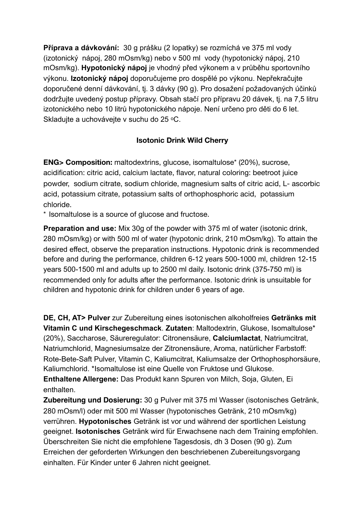**Příprava a dávkování:** 30 g prášku (2 lopatky) se rozmíchá ve 375 ml vody (izotonický nápoj, 280 mOsm/kg) nebo v 500 ml vody (hypotonický nápoj, 210 mOsm/kg). **Hypotonický nápoj** je vhodný před výkonem a v průběhu sportovního výkonu. **Izotonický nápoj** doporučujeme pro dospělé po výkonu. Nepřekračujte doporučené denní dávkování, tj. 3 dávky (90 g). Pro dosažení požadovaných účinků dodržujte uvedený postup přípravy. Obsah stačí pro přípravu 20 dávek, tj. na 7,5 litru izotonického nebo 10 litrů hypotonického nápoje. Není určeno pro děti do 6 let. Skladujte a uchovávejte v suchu do 25 °C.

## **Isotonic Drink Wild Cherry**

**ENG> Composition:** maltodextrins, glucose, isomaltulose\* (20%), sucrose, acidification: citric acid, calcium lactate, flavor, natural coloring: beetroot juice powder, sodium citrate, sodium chloride, magnesium salts of citric acid, L- ascorbic acid, potassium citrate, potassium salts of orthophosphoric acid, potassium chloride.

\* Isomaltulose is a source of glucose and fructose.

**Preparation and use:** Mix 30g of the powder with 375 ml of water (isotonic drink, 280 mOsm/kg) or with 500 ml of water (hypotonic drink, 210 mOsm/kg). To attain the desired effect, observe the preparation instructions. Hypotonic drink is recommended before and during the performance, children 6-12 years 500-1000 ml, children 12-15 years 500-1500 ml and adults up to 2500 ml daily. Isotonic drink (375-750 ml) is recommended only for adults after the performance. Isotonic drink is unsuitable for children and hypotonic drink for children under 6 years of age.

**DE, CH, AT> Pulver** zur Zubereitung eines isotonischen alkoholfreies **Getränks mit Vitamin C und Kirschegeschmack**. **Zutaten**: Maltodextrin, Glukose, Isomaltulose\* (20%), Saccharose, Säureregulator: Citronensäure, **Calciumlactat**, Natriumcitrat, Natriumchlorid, Magnesiumsalze der Zitronensäure, Aroma, natürlicher Farbstoff: Rote-Bete-Saft Pulver, Vitamin C, Kaliumcitrat, Kaliumsalze der Orthophosphorsäure, Kaliumchlorid. \*Isomaltulose ist eine Quelle von Fruktose und Glukose. **Enthaltene Allergene:** Das Produkt kann Spuren von Milch, Soja, Gluten, Ei enthalten.

**Zubereitung und Dosierung:** 30 g Pulver mit 375 ml Wasser (isotonisches Getränk, 280 mOsm/l) oder mit 500 ml Wasser (hypotonisches Getränk, 210 mOsm/kg) verrühren. **Hypotonisches** Getränk ist vor und während der sportlichen Leistung geeignet. **Isotonisches** Getränk wird für Erwachsene nach dem Training empfohlen. Überschreiten Sie nicht die empfohlene Tagesdosis, dh 3 Dosen (90 g). Zum Erreichen der geforderten Wirkungen den beschriebenen Zubereitungsvorgang einhalten. Für Kinder unter 6 Jahren nicht geeignet.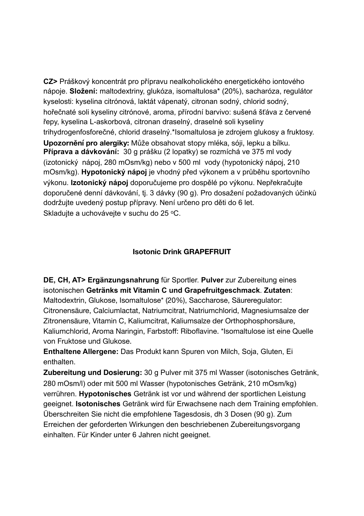**CZ>** Práškový koncentrát pro přípravu nealkoholického energetického iontového nápoje. **Složení:** maltodextriny, glukóza, isomaltulosa\* (20%), sacharóza, regulátor kyselosti: kyselina citrónová, laktát vápenatý, citronan sodný, chlorid sodný, hořečnaté soli kyseliny citrónové, aroma, přírodní barvivo: sušená šťáva z červené řepy, kyselina L-askorbová, citronan draselný, draselné soli kyseliny trihydrogenfosforečné, chlorid draselný.\*Isomaltulosa je zdrojem glukosy a fruktosy. **Upozornění pro alergiky:** Může obsahovat stopy mléka, sóji, lepku a bílku. **Příprava a dávkování:** 30 g prášku (2 lopatky) se rozmíchá ve 375 ml vody (izotonický nápoj, 280 mOsm/kg) nebo v 500 ml vody (hypotonický nápoj, 210 mOsm/kg). **Hypotonický nápoj** je vhodný před výkonem a v průběhu sportovního výkonu. **Izotonický nápoj** doporučujeme pro dospělé po výkonu. Nepřekračujte doporučené denní dávkování, tj. 3 dávky (90 g). Pro dosažení požadovaných účinků dodržujte uvedený postup přípravy. Není určeno pro děti do 6 let. Skladuite a uchováveite v suchu do 25 °C.

## **Isotonic Drink GRAPEFRUIT**

**DE, CH, AT> Ergänzungsnahrung** für Sportler. **Pulver** zur Zubereitung eines isotonischen **Getränks mit Vitamin C und Grapefruitgeschmack**. **Zutaten**: Maltodextrin, Glukose, Isomaltulose\* (20%), Saccharose, Säureregulator: Citronensäure, Calciumlactat, Natriumcitrat, Natriumchlorid, Magnesiumsalze der Zitronensäure, Vitamin C, Kaliumcitrat, Kaliumsalze der Orthophosphorsäure, Kaliumchlorid, Aroma Naringin, Farbstoff: Riboflavine. \*Isomaltulose ist eine Quelle von Fruktose und Glukose.

**Enthaltene Allergene:** Das Produkt kann Spuren von Milch, Soja, Gluten, Ei enthalten.

**Zubereitung und Dosierung:** 30 g Pulver mit 375 ml Wasser (isotonisches Getränk, 280 mOsm/l) oder mit 500 ml Wasser (hypotonisches Getränk, 210 mOsm/kg) verrühren. **Hypotonisches** Getränk ist vor und während der sportlichen Leistung geeignet. **Isotonisches** Getränk wird für Erwachsene nach dem Training empfohlen. Überschreiten Sie nicht die empfohlene Tagesdosis, dh 3 Dosen (90 g). Zum Erreichen der geforderten Wirkungen den beschriebenen Zubereitungsvorgang einhalten. Für Kinder unter 6 Jahren nicht geeignet.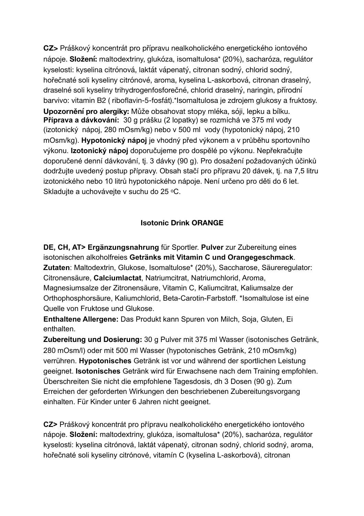**CZ>** Práškový koncentrát pro přípravu nealkoholického energetického iontového nápoje. **Složení:** maltodextriny, glukóza, isomaltulosa\* (20%), sacharóza, regulátor kyselosti: kyselina citrónová, laktát vápenatý, citronan sodný, chlorid sodný, hořečnaté soli kyseliny citrónové, aroma, kyselina L-askorbová, citronan draselný, draselné soli kyseliny trihydrogenfosforečné, chlorid draselný, naringin, přírodní barvivo: vitamin B2 ( riboflavin-5-fosfát).\*Isomaltulosa je zdrojem glukosy a fruktosy. **Upozornění pro alergiky:** Může obsahovat stopy mléka, sóji, lepku a bílku. **Příprava a dávkování:** 30 g prášku (2 lopatky) se rozmíchá ve 375 ml vody (izotonický nápoj, 280 mOsm/kg) nebo v 500 ml vody (hypotonický nápoj, 210 mOsm/kg). **Hypotonický nápoj** je vhodný před výkonem a v průběhu sportovního výkonu. **Izotonický nápoj** doporučujeme pro dospělé po výkonu. Nepřekračujte doporučené denní dávkování, tj. 3 dávky (90 g). Pro dosažení požadovaných účinků dodržujte uvedený postup přípravy. Obsah stačí pro přípravu 20 dávek, tj. na 7,5 litru izotonického nebo 10 litrů hypotonického nápoje. Není určeno pro děti do 6 let. Skladujte a uchovávejte v suchu do 25 °C.

## **Isotonic Drink ORANGE**

**DE, CH, AT> Ergänzungsnahrung** für Sportler. **Pulver** zur Zubereitung eines isotonischen alkoholfreies **Getränks mit Vitamin C und Orangegeschmack**. **Zutaten**: Maltodextrin, Glukose, Isomaltulose\* (20%), Saccharose, Säureregulator: Citronensäure, **Calciumlactat**, Natriumcitrat, Natriumchlorid, Aroma, Magnesiumsalze der Zitronensäure, Vitamin C, Kaliumcitrat, Kaliumsalze der Orthophosphorsäure, Kaliumchlorid, Beta-Carotin-Farbstoff. \*Isomaltulose ist eine Quelle von Fruktose und Glukose.

**Enthaltene Allergene:** Das Produkt kann Spuren von Milch, Soja, Gluten, Ei enthalten.

**Zubereitung und Dosierung:** 30 g Pulver mit 375 ml Wasser (isotonisches Getränk, 280 mOsm/l) oder mit 500 ml Wasser (hypotonisches Getränk, 210 mOsm/kg) verrühren. **Hypotonisches** Getränk ist vor und während der sportlichen Leistung geeignet. **Isotonisches** Getränk wird für Erwachsene nach dem Training empfohlen. Überschreiten Sie nicht die empfohlene Tagesdosis, dh 3 Dosen (90 g). Zum Erreichen der geforderten Wirkungen den beschriebenen Zubereitungsvorgang einhalten. Für Kinder unter 6 Jahren nicht geeignet.

**CZ>** Práškový koncentrát pro přípravu nealkoholického energetického iontového nápoje. **Složení:** maltodextriny, glukóza, isomaltulosa\* (20%), sacharóza, regulátor kyselosti: kyselina citrónová, laktát vápenatý, citronan sodný, chlorid sodný, aroma, hořečnaté soli kyseliny citrónové, vitamín C (kyselina L-askorbová), citronan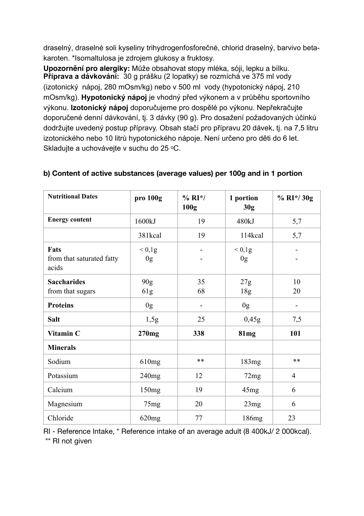draselný, draselné soli kyseliny trihydrogenfosforečné, chlorid draselný, barvivo betakaroten. \*Isomaltulosa je zdrojem glukosy a fruktosy.

**Upozornění pro alergiky:** Může obsahovat stopy mléka, sóji, lepku a bílku. **Příprava a dávkování:** 30 g prášku (2 lopatky) se rozmíchá ve 375 ml vody (izotonický nápoj, 280 mOsm/kg) nebo v 500 ml vody (hypotonický nápoj, 210 mOsm/kg). **Hypotonický nápoj** je vhodný před výkonem a v průběhu sportovního výkonu. **Izotonický nápoj** doporučujeme pro dospělé po výkonu. Nepřekračujte doporučené denní dávkování, tj. 3 dávky (90 g). Pro dosažení požadovaných účinků dodržujte uvedený postup přípravy. Obsah stačí pro přípravu 20 dávek, tj. na 7,5 litru izotonického nebo 10 litrů hypotonického nápoje. Není určeno pro děti do 6 let. Skladujte a uchovávejte v suchu do 25 °C.

| <b>Nutritional Dates</b>                   | pro 100g               | $% RI*/$<br>100g | 1 portion<br>30g             | $% RI*/30g$              |
|--------------------------------------------|------------------------|------------------|------------------------------|--------------------------|
| <b>Energy content</b>                      | 1600kJ                 | 19               | 480kJ                        | 5,7                      |
|                                            | 381kcal                | 19               | 114kcal                      | 5,7                      |
| Fats<br>from that saturated fatty<br>acids | < 0.1g<br>0g           |                  | ${}< 0,1g$<br>0 <sub>g</sub> |                          |
| <b>Saccharides</b><br>from that sugars     | 90 <sub>g</sub><br>61g | 35<br>68         | 27g<br>18g                   | 10<br>20                 |
| <b>Proteins</b>                            | 0 <sub>g</sub>         | -                | 0 <sub>g</sub>               | $\overline{\phantom{a}}$ |
| <b>Salt</b>                                | 1,5g                   | 25               | 0,45g                        | 7,5                      |
| Vitamin C                                  | 270mg                  | 338              | 81 <sub>mg</sub>             | 101                      |
| <b>Minerals</b>                            |                        |                  |                              |                          |
| Sodium                                     | 610mg                  | $***$            | 183mg                        | $**$                     |
| Potassium                                  | 240mg                  | 12               | 72mg                         | $\overline{4}$           |
| Calcium                                    | 150mg                  | 19               | 45mg                         | 6                        |
| Magnesium                                  | 75 <sub>mg</sub>       | 20               | 23mg                         | 6                        |
| Chloride                                   | 620mg                  | 77               | 186mg                        | 23                       |

## **b) Content of active substances (average values) per 100g and in 1 portion**

RI - Reference Intake, \* Reference intake of an average adult (8 400kJ/ 2 000kcal).

\*\* RI not given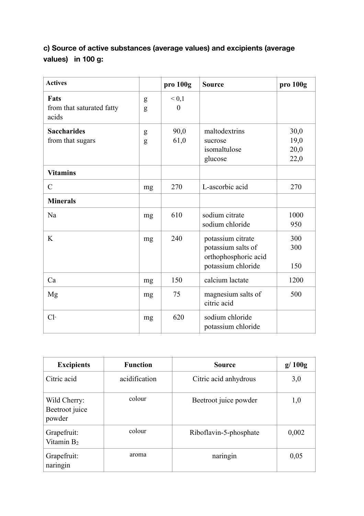# **c) Source of active substances (average values) and excipients (average values) in 100 g:**

| <b>Actives</b>                                    |        | pro 100g              | <b>Source</b>                                                                         | pro 100g                     |
|---------------------------------------------------|--------|-----------------------|---------------------------------------------------------------------------------------|------------------------------|
| <b>Fats</b><br>from that saturated fatty<br>acids | g<br>g | ${}< 0,1$<br>$\Omega$ |                                                                                       |                              |
| <b>Saccharides</b><br>from that sugars            | g<br>g | 90,0<br>61,0          | maltodextrins<br>sucrose<br>isomaltulose<br>glucose                                   | 30,0<br>19,0<br>20,0<br>22,0 |
| <b>Vitamins</b>                                   |        |                       |                                                                                       |                              |
| $\mathcal{C}$                                     | mg     | 270                   | L-ascorbic acid                                                                       | 270                          |
| <b>Minerals</b>                                   |        |                       |                                                                                       |                              |
| Na                                                | mg     | 610                   | sodium citrate<br>sodium chloride                                                     | 1000<br>950                  |
| K                                                 | mg     | 240                   | potassium citrate<br>potassium salts of<br>orthophosphoric acid<br>potassium chloride | 300<br>300<br>150            |
| Ca                                                | mg     | 150                   | calcium lactate                                                                       | 1200                         |
| Mg                                                | mg     | 75                    | magnesium salts of<br>citric acid                                                     | 500                          |
| $Cl-$                                             | mg     | 620                   | sodium chloride<br>potassium chloride                                                 |                              |

| <b>Excipients</b>                        | <b>Function</b> | <b>Source</b>          | g/100g |
|------------------------------------------|-----------------|------------------------|--------|
| Citric acid                              | acidification   | Citric acid anhydrous  | 3,0    |
| Wild Cherry:<br>Beetroot juice<br>powder | colour          | Beetroot juice powder  | 1,0    |
| Grapefruit:<br>Vitamin B <sub>2</sub>    | colour          | Riboflavin-5-phosphate | 0,002  |
| Grapefruit:<br>naringin                  | aroma           | naringin               | 0,05   |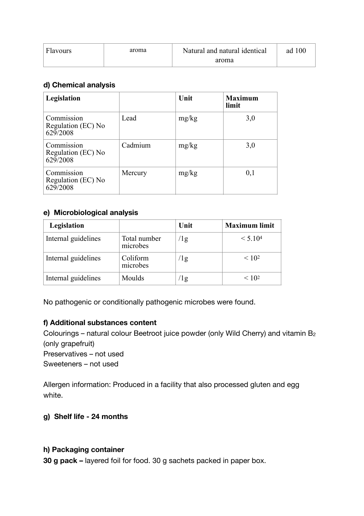| Flavours | aroma | Natural and natural identical | ad 100 |
|----------|-------|-------------------------------|--------|
|          |       | aroma                         |        |

#### **d) Chemical analysis**

| Legislation                                  |         | Unit  | <b>Maximum</b><br>limit |
|----------------------------------------------|---------|-------|-------------------------|
| Commission<br>Regulation (EC) No<br>629/2008 | Lead    | mg/kg | 3,0                     |
| Commission<br>Regulation (EC) No<br>629/2008 | Cadmium | mg/kg | 3,0                     |
| Commission<br>Regulation (EC) No<br>629/2008 | Mercury | mg/kg | 0,1                     |

#### **e) Microbiological analysis**

| Legislation         |                          | Unit       | <b>Maximum limit</b> |
|---------------------|--------------------------|------------|----------------------|
| Internal guidelines | Total number<br>microbes | $\sqrt{2}$ | < 5.104              |
| Internal guidelines | Coliform<br>microbes     | $\log$     | < 10 <sup>2</sup>    |
| Internal guidelines | Moulds                   | 1g         | < 10 <sup>2</sup>    |

No pathogenic or conditionally pathogenic microbes were found.

## **f) Additional substances content**

Colourings – natural colour Beetroot juice powder (only Wild Cherry) and vitamin B2 (only grapefruit) Preservatives – not used

Sweeteners – not used

Allergen information: Produced in a facility that also processed gluten and egg white.

## **g) Shelf life - 24 months**

#### **h) Packaging container**

**30 g pack –** layered foil for food. 30 g sachets packed in paper box.